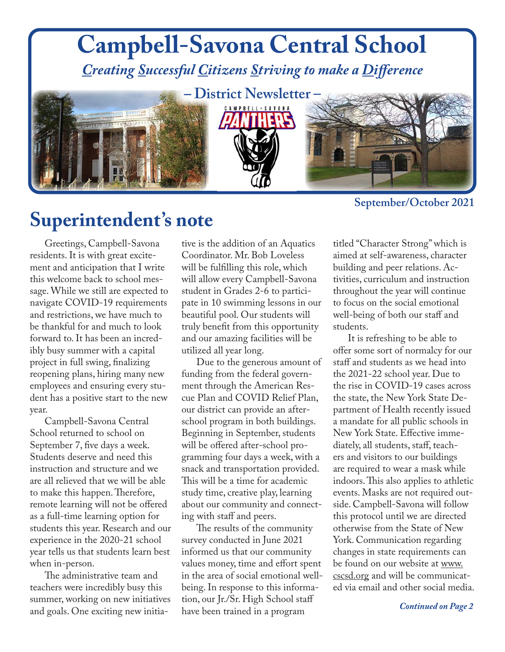

### **Superintendent's note**

Greetings, Campbell-Savona residents. It is with great excitement and anticipation that I write this welcome back to school message. While we still are expected to navigate COVID-19 requirements and restrictions, we have much to be thankful for and much to look forward to. It has been an incredibly busy summer with a capital project in full swing, finalizing reopening plans, hiring many new employees and ensuring every student has a positive start to the new year.

Campbell-Savona Central School returned to school on September 7, five days a week. Students deserve and need this instruction and structure and we are all relieved that we will be able to make this happen. Therefore, remote learning will not be offered as a full-time learning option for students this year. Research and our experience in the 2020-21 school year tells us that students learn best when in-person.

The administrative team and teachers were incredibly busy this summer, working on new initiatives and goals. One exciting new initia-

tive is the addition of an Aquatics Coordinator. Mr. Bob Loveless will be fulfilling this role, which will allow every Campbell-Savona student in Grades 2-6 to participate in 10 swimming lessons in our beautiful pool. Our students will truly benefit from this opportunity and our amazing facilities will be utilized all year long.

Due to the generous amount of funding from the federal government through the American Rescue Plan and COVID Relief Plan, our district can provide an afterschool program in both buildings. Beginning in September, students will be offered after-school programming four days a week, with a snack and transportation provided. This will be a time for academic study time, creative play, learning about our community and connecting with staff and peers.

The results of the community survey conducted in June 2021 informed us that our community values money, time and effort spent in the area of social emotional wellbeing. In response to this information, our Jr./Sr. High School staff have been trained in a program

titled "Character Strong" which is aimed at self-awareness, character building and peer relations. Activities, curriculum and instruction throughout the year will continue to focus on the social emotional well-being of both our staff and students.

It is refreshing to be able to offer some sort of normalcy for our staff and students as we head into the 2021-22 school year. Due to the rise in COVID-19 cases across the state, the New York State Department of Health recently issued a mandate for all public schools in New York State. Effective immediately, all students, staff, teachers and visitors to our buildings are required to wear a mask while indoors. This also applies to athletic events. Masks are not required outside. Campbell-Savona will follow this protocol until we are directed otherwise from the State of New York. Communication regarding changes in state requirements can be found on our website at www. cscsd.org and will be communicated via email and other social media.

*Continued on Page 2*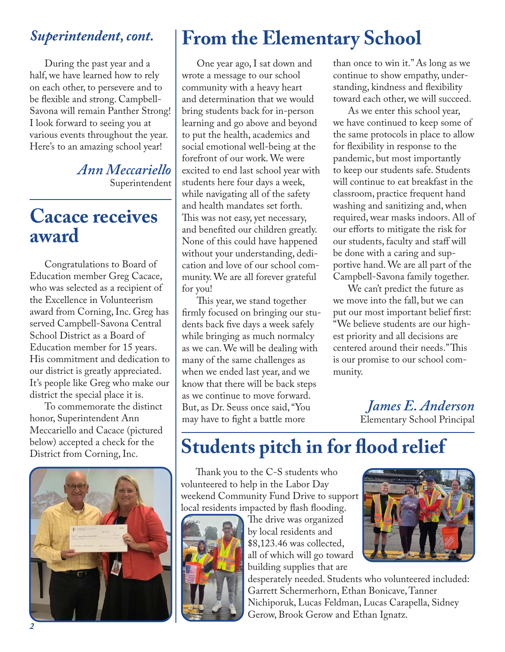### *Superintendent, cont.*

During the past year and a half, we have learned how to rely on each other, to persevere and to be flexible and strong. Campbell-Savona will remain Panther Strong! I look forward to seeing you at various events throughout the year. Here's to an amazing school year!

> *Ann Meccariello* Superintendent

### **Cacace receives award**

Congratulations to Board of Education member Greg Cacace, who was selected as a recipient of the Excellence in Volunteerism award from Corning, Inc. Greg has served Campbell-Savona Central School District as a Board of Education member for 15 years. His commitment and dedication to our district is greatly appreciated. It's people like Greg who make our district the special place it is.

To commemorate the distinct honor, Superintendent Ann Meccariello and Cacace (pictured below) accepted a check for the<br>District from Corning, Inc.



# **From the Elementary School**

One year ago, I sat down and wrote a message to our school community with a heavy heart and determination that we would bring students back for in-person learning and go above and beyond to put the health, academics and social emotional well-being at the forefront of our work. We were excited to end last school year with students here four days a week, while navigating all of the safety and health mandates set forth. This was not easy, yet necessary, and benefited our children greatly. None of this could have happened without your understanding, dedication and love of our school community. We are all forever grateful for you!

This year, we stand together firmly focused on bringing our students back five days a week safely while bringing as much normalcy as we can. We will be dealing with many of the same challenges as when we ended last year, and we know that there will be back steps as we continue to move forward. But, as Dr. Seuss once said, "You may have to fight a battle more

than once to win it." As long as we continue to show empathy, understanding, kindness and flexibility toward each other, we will succeed.

As we enter this school year, we have continued to keep some of the same protocols in place to allow for flexibility in response to the pandemic, but most importantly to keep our students safe. Students will continue to eat breakfast in the classroom, practice frequent hand washing and sanitizing and, when required, wear masks indoors. All of our efforts to mitigate the risk for our students, faculty and staff will be done with a caring and supportive hand. We are all part of the Campbell-Savona family together.

We can't predict the future as we move into the fall, but we can put our most important belief first: "We believe students are our highest priority and all decisions are centered around their needs." This is our promise to our school community.

> *James E. Anderson* Elementary School Principal

# **Students pitch in for flood relief**

Thank you to the C-S students who volunteered to help in the Labor Day weekend Community Fund Drive to support local residents impacted by flash flooding.



The drive was organized by local residents and \$8,123.46 was collected, all of which will go toward building supplies that are



desperately needed. Students who volunteered included: Garrett Schermerhorn, Ethan Bonicave, Tanner Nichiporuk, Lucas Feldman, Lucas Carapella, Sidney Gerow, Brook Gerow and Ethan Ignatz.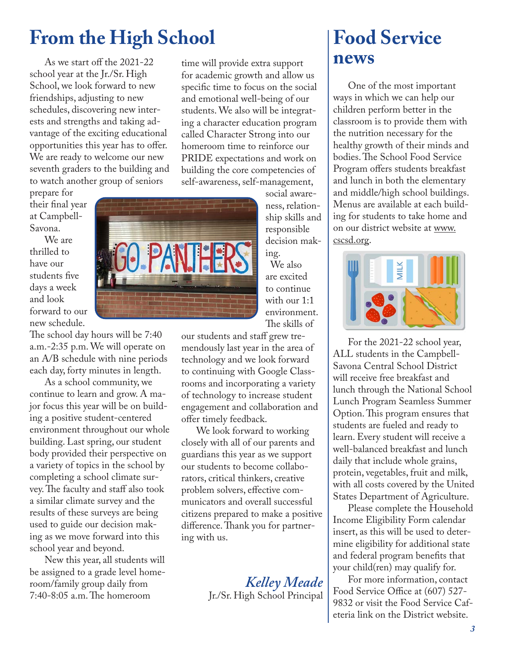## **From the High School**

As we start off the 2021-22 school year at the Jr./Sr. High School, we look forward to new friendships, adjusting to new schedules, discovering new interests and strengths and taking advantage of the exciting educational opportunities this year has to offer. We are ready to welcome our new seventh graders to the building and to watch another group of seniors

prepare for their final year at Campbell-Savona.

We are thrilled to have our students five days a week and look forward to our new schedule.

The school day hours will be 7:40 a.m.-2:35 p.m. We will operate on an A/B schedule with nine periods each day, forty minutes in length.

As a school community, we continue to learn and grow. A major focus this year will be on building a positive student-centered environment throughout our whole building. Last spring, our student body provided their perspective on a variety of topics in the school by completing a school climate survey. The faculty and staff also took a similar climate survey and the results of these surveys are being used to guide our decision making as we move forward into this school year and beyond.

New this year, all students will be assigned to a grade level homeroom/family group daily from 7:40-8:05 a.m. The homeroom

time will provide extra support for academic growth and allow us specific time to focus on the social and emotional well-being of our students. We also will be integrating a character education program called Character Strong into our homeroom time to reinforce our PRIDE expectations and work on building the core competencies of self-awareness, self-management,

social awareness, relationship skills and responsible decision making.

We also are excited to continue with our 1:1 environment. The skills of

our students and staff grew tremendously last year in the area of technology and we look forward to continuing with Google Classrooms and incorporating a variety of technology to increase student engagement and collaboration and offer timely feedback.

We look forward to working closely with all of our parents and guardians this year as we support our students to become collaborators, critical thinkers, creative problem solvers, effective communicators and overall successful citizens prepared to make a positive difference. Thank you for partnering with us.

> *Kelley Meade* Jr./Sr. High School Principal

### **Food Service news**

One of the most important ways in which we can help our children perform better in the classroom is to provide them with the nutrition necessary for the healthy growth of their minds and bodies. The School Food Service Program offers students breakfast and lunch in both the elementary and middle/high school buildings. Menus are available at each building for students to take home and on our district website at www. cscsd.org.



For the 2021-22 school year, ALL students in the Campbell-Savona Central School District will receive free breakfast and lunch through the National School Lunch Program Seamless Summer Option. This program ensures that students are fueled and ready to learn. Every student will receive a well-balanced breakfast and lunch daily that include whole grains, protein, vegetables, fruit and milk, with all costs covered by the United States Department of Agriculture.

Please complete the Household Income Eligibility Form calendar insert, as this will be used to determine eligibility for additional state and federal program benefits that your child(ren) may qualify for.

For more information, contact Food Service Office at (607) 527- 9832 or visit the Food Service Cafeteria link on the District website.

![](_page_2_Picture_19.jpeg)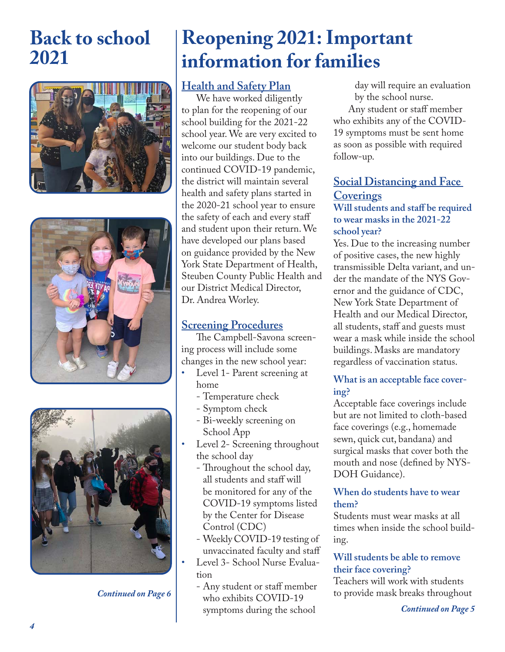### **Back to school 2021**

![](_page_3_Picture_1.jpeg)

![](_page_3_Picture_2.jpeg)

![](_page_3_Picture_3.jpeg)

*Continued on Page 6*

# **Reopening 2021: Important information for families**

### **Health and Safety Plan**

We have worked diligently to plan for the reopening of our school building for the 2021-22 school year. We are very excited to welcome our student body back into our buildings. Due to the continued COVID-19 pandemic, the district will maintain several health and safety plans started in the 2020-21 school year to ensure the safety of each and every staff and student upon their return. We have developed our plans based on guidance provided by the New York State Department of Health, Steuben County Public Health and our District Medical Director, Dr. Andrea Worley.

#### **Screening Procedures**

The Campbell-Savona screening process will include some changes in the new school year:

- Level 1- Parent screening at home
	- Temperature check
	- Symptom check
	- Bi-weekly screening on School App
- Level 2- Screening throughout the school day
	- Throughout the school day, all students and staff will be monitored for any of the COVID-19 symptoms listed by the Center for Disease Control (CDC)
	- Weekly COVID-19 testing of unvaccinated faculty and staff
- Level 3- School Nurse Evaluation
	- Any student or staff member who exhibits COVID-19 symptoms during the school

 day will require an evaluation by the school nurse.

Any student or staff member who exhibits any of the COVID-19 symptoms must be sent home as soon as possible with required follow-up.

### **Social Distancing and Face Coverings**

#### **Will students and staff be required to wear masks in the 2021-22 school year?**

Yes. Due to the increasing number of positive cases, the new highly transmissible Delta variant, and under the mandate of the NYS Governor and the guidance of CDC, New York State Department of Health and our Medical Director, all students, staff and guests must wear a mask while inside the school buildings. Masks are mandatory regardless of vaccination status.

#### **What is an acceptable face covering?**

Acceptable face coverings include but are not limited to cloth-based face coverings (e.g., homemade sewn, quick cut, bandana) and surgical masks that cover both the mouth and nose (defined by NYS-DOH Guidance).

#### **When do students have to wear them?**

Students must wear masks at all times when inside the school building.

#### **Will students be able to remove their face covering?**

Teachers will work with students to provide mask breaks throughout

*Continued on Page 5*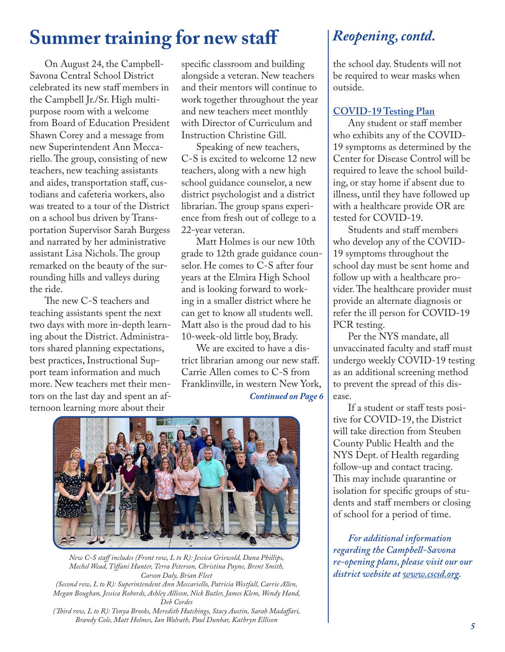### **Summer training for new staff** *Reopening, contd.*

On August 24, the Campbell-Savona Central School District celebrated its new staff members in the Campbell Jr./Sr. High multipurpose room with a welcome from Board of Education President Shawn Corey and a message from new Superintendent Ann Meccariello. The group, consisting of new teachers, new teaching assistants and aides, transportation staff, custodians and cafeteria workers, also was treated to a tour of the District on a school bus driven by Transportation Supervisor Sarah Burgess and narrated by her administrative assistant Lisa Nichols. The group remarked on the beauty of the surrounding hills and valleys during the ride.

The new C-S teachers and teaching assistants spent the next two days with more in-depth learning about the District. Administrators shared planning expectations, best practices, Instructional Support team information and much more. New teachers met their mentors on the last day and spent an afternoon learning more about their

specific classroom and building alongside a veteran. New teachers and their mentors will continue to work together throughout the year and new teachers meet monthly with Director of Curriculum and Instruction Christine Gill.

Speaking of new teachers, C-S is excited to welcome 12 new teachers, along with a new high school guidance counselor, a new district psychologist and a district librarian. The group spans experience from fresh out of college to a 22-year veteran.

Matt Holmes is our new 10th grade to 12th grade guidance counselor. He comes to C-S after four years at the Elmira High School and is looking forward to working in a smaller district where he can get to know all students well. Matt also is the proud dad to his 10-week-old little boy, Brady.

We are excited to have a district librarian among our new staff. Carrie Allen comes to C-S from Franklinville, in western New York, *Continued on Page 6*

![](_page_4_Picture_7.jpeg)

*New C-S staff includes (Front row, L to R): Jessica Griswold, Dana Phillips, Mechel Wead, Tiffani Hunter, Terra Peterson, Christina Payne, Brent Smith, Carson Daly, Brian Fleet (Second row, L to R): Superintendent Ann Meccariello, Patricia Westfall, Carrie Allen,* 

*Megan Boughan, Jessica Robords, Ashley Allison, Nick Butler, James Klem, Wendy Hand, Deb Cordes* 

*(Third row, L to R): Tonya Brooks, Meredith Hutchings, Stacy Austin, Sarah Madaffari, Brandy Cole, Matt Holmes, Ian Walrath, Paul Dunbar, Kathryn Ellison*

the school day. Students will not be required to wear masks when outside.

#### **COVID-19 Testing Plan**

Any student or staff member who exhibits any of the COVID-19 symptoms as determined by the Center for Disease Control will be required to leave the school building, or stay home if absent due to illness, until they have followed up with a healthcare provide OR are tested for COVID-19.

Students and staff members who develop any of the COVID-19 symptoms throughout the school day must be sent home and follow up with a healthcare provider. The healthcare provider must provide an alternate diagnosis or refer the ill person for COVID-19 PCR testing.

Per the NYS mandate, all unvaccinated faculty and staff must undergo weekly COVID-19 testing as an additional screening method to prevent the spread of this disease.

If a student or staff tests positive for COVID-19, the District will take direction from Steuben County Public Health and the NYS Dept. of Health regarding follow-up and contact tracing. This may include quarantine or isolation for specific groups of students and staff members or closing of school for a period of time.

*For additional information regarding the Campbell-Savona re-opening plans, please visit our our district website at www.cscsd.org.*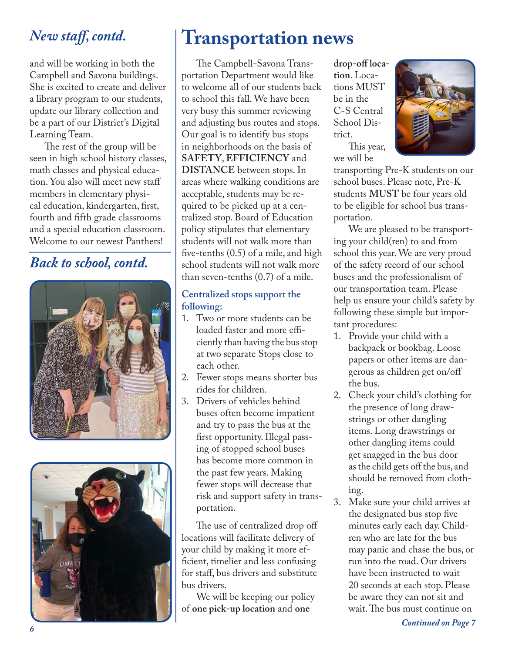### *New staff, contd.*

and will be working in both the Campbell and Savona buildings. She is excited to create and deliver a library program to our students, update our library collection and be a part of our District's Digital Learning Team.

The rest of the group will be seen in high school history classes, math classes and physical education. You also will meet new staff members in elementary physical education, kindergarten, first, fourth and fifth grade classrooms and a special education classroom. Welcome to our newest Panthers!

### *Back to school, contd.*

![](_page_5_Picture_4.jpeg)

![](_page_5_Picture_5.jpeg)

# **Transportation news**

The Campbell-Savona Transportation Department would like to welcome all of our students back to school this fall. We have been very busy this summer reviewing and adjusting bus routes and stops. Our goal is to identify bus stops in neighborhoods on the basis of **SAFETY**, **EFFICIENCY** and **DISTANCE** between stops. In areas where walking conditions are acceptable, students may be required to be picked up at a centralized stop. Board of Education policy stipulates that elementary students will not walk more than five-tenths (0.5) of a mile, and high school students will not walk more than seven-tenths (0.7) of a mile.

#### **Centralized stops support the following:**

- 1. Two or more students can be loaded faster and more efficiently than having the bus stop at two separate Stops close to each other.
- 2. Fewer stops means shorter bus rides for children.
- 3. Drivers of vehicles behind buses often become impatient and try to pass the bus at the first opportunity. Illegal passing of stopped school buses has become more common in the past few years. Making fewer stops will decrease that risk and support safety in transportation.

The use of centralized drop off locations will facilitate delivery of your child by making it more efficient, timelier and less confusing for staff, bus drivers and substitute bus drivers.

We will be keeping our policy of **one pick-up location** and **one** 

**drop-off location**. Locations MUST be in the C-S Central School District.

This year, we will be

![](_page_5_Picture_16.jpeg)

transporting Pre-K students on our school buses. Please note, Pre-K students **MUST** be four years old to be eligible for school bus transportation.

We are pleased to be transporting your child(ren) to and from school this year. We are very proud of the safety record of our school buses and the professionalism of our transportation team. Please help us ensure your child's safety by following these simple but important procedures:

- 1. Provide your child with a backpack or bookbag. Loose papers or other items are dangerous as children get on/off the bus.
- 2. Check your child's clothing for the presence of long drawstrings or other dangling items. Long drawstrings or other dangling items could get snagged in the bus door as the child gets off the bus, and should be removed from clothing.
- 3. Make sure your child arrives at the designated bus stop five minutes early each day. Children who are late for the bus may panic and chase the bus, or run into the road. Our drivers have been instructed to wait 20 seconds at each stop. Please be aware they can not sit and wait. The bus must continue on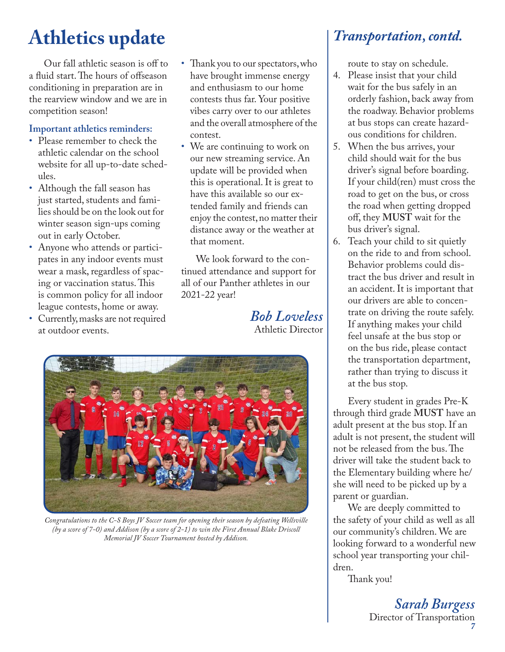# **Athletics update**

Our fall athletic season is off to a fluid start. The hours of offseason conditioning in preparation are in the rearview window and we are in competition season!

### **Important athletics reminders:**

- Please remember to check the athletic calendar on the school website for all up-to-date schedules.
- Although the fall season has just started, students and families should be on the look out for winter season sign-ups coming out in early October.
- Anyone who attends or participates in any indoor events must wear a mask, regardless of spacing or vaccination status. This is common policy for all indoor league contests, home or away.
- Currently, masks are not required at outdoor events.
- Thank you to our spectators, who have brought immense energy and enthusiasm to our home contests thus far. Your positive vibes carry over to our athletes and the overall atmosphere of the contest.
- We are continuing to work on our new streaming service. An update will be provided when this is operational. It is great to have this available so our extended family and friends can enjoy the contest, no matter their distance away or the weather at that moment.

We look forward to the continued attendance and support for all of our Panther athletes in our 2021-22 year!

> *Bob Loveless* Athletic Director

![](_page_6_Picture_11.jpeg)

*Congratulations to the C-S Boys JV Soccer team for opening their season by defeating Wellsville (by a score of 7-0) and Addison (by a score of 2-1) to win the First Annual Blake Driscoll Memorial JV Soccer Tournament hosted by Addison.*

### *Transportation, contd.*

route to stay on schedule.

- 4. Please insist that your child wait for the bus safely in an orderly fashion, back away from the roadway. Behavior problems at bus stops can create hazardous conditions for children.
- 5. When the bus arrives, your child should wait for the bus driver's signal before boarding. If your child(ren) must cross the road to get on the bus, or cross the road when getting dropped off, they **MUST** wait for the bus driver's signal.
- 6. Teach your child to sit quietly on the ride to and from school. Behavior problems could distract the bus driver and result in an accident. It is important that our drivers are able to concentrate on driving the route safely. If anything makes your child feel unsafe at the bus stop or on the bus ride, please contact the transportation department, rather than trying to discuss it at the bus stop.

Every student in grades Pre-K through third grade **MUST** have an adult present at the bus stop. If an adult is not present, the student will not be released from the bus. The driver will take the student back to the Elementary building where he/ she will need to be picked up by a parent or guardian.

We are deeply committed to the safety of your child as well as all our community's children. We are looking forward to a wonderful new school year transporting your children.

Thank you!

*7 Sarah Burgess* Director of Transportation